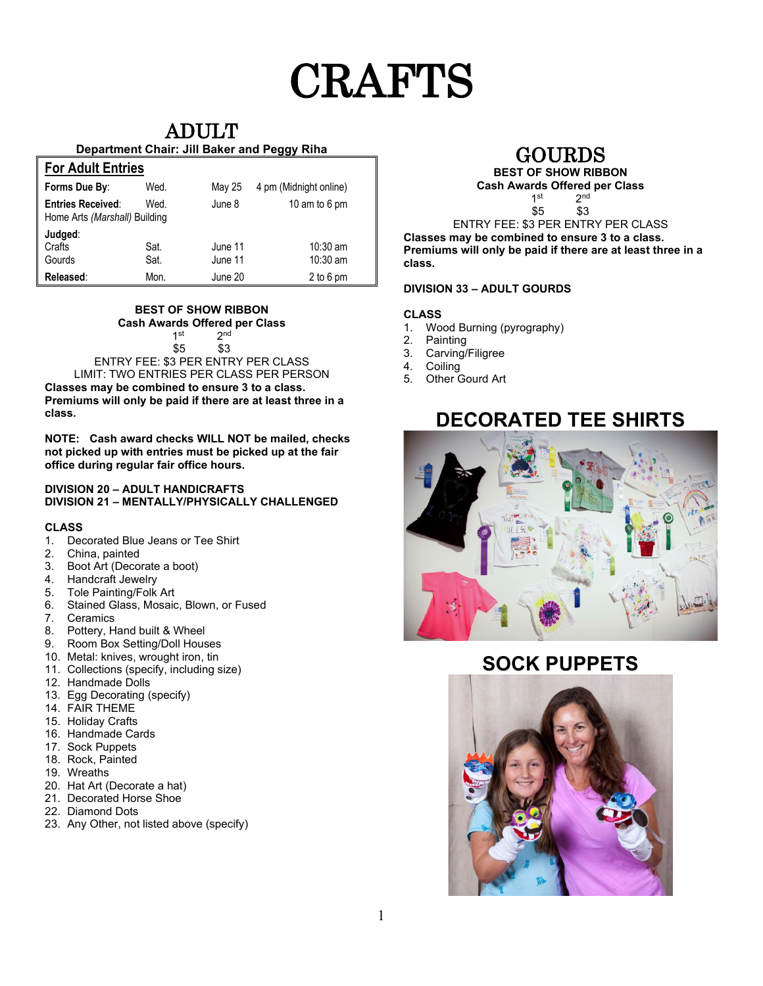# CRAFTS

### ADULT

#### **Department Chair: Jill Baker and Peggy Riha**

| <b>For Adult Entries</b>                                  |              |                    |                          |  |
|-----------------------------------------------------------|--------------|--------------------|--------------------------|--|
| Forms Due By:                                             | Wed.         | May 25             | 4 pm (Midnight online)   |  |
| <b>Entries Received:</b><br>Home Arts (Marshall) Building | Wed.         | June 8             | 10 am to 6 pm            |  |
| Judged:<br>Crafts<br>Gourds                               | Sat.<br>Sat. | June 11<br>June 11 | $10:30$ am<br>$10:30$ am |  |
| Released:                                                 | Mon.         | June 20            | 2 to 6 pm                |  |

### **BEST OF SHOW RIBBON Cash Awards Offered per Class**

 $1^{\text{st}}$   $2^{\text{nd}}$ <br> $$5$   $$3$ 

\$3 ENTRY FEE: \$3 PER ENTRY PER CLASS LIMIT: TWO ENTRIES PER CLASS PER PERSON

**Classes may be combined to ensure 3 to a class. Premiums will only be paid if there are at least three in a class.**

**NOTE: Cash award checks WILL NOT be mailed, checks not picked up with entries must be picked up at the fair office during regular fair office hours.**

#### **DIVISION 20 – ADULT HANDICRAFTS DIVISION 21 – MENTALLY/PHYSICALLY CHALLENGED**

### **CLASS**

- 1. Decorated Blue Jeans or Tee Shirt
- 2. China, painted
- 3. Boot Art (Decorate a boot)
- 4. Handcraft Jewelry
- 5. Tole Painting/Folk Art
- 6. Stained Glass, Mosaic, Blown, or Fused
- 7. Ceramics
- 8. Pottery, Hand built & Wheel
- 9. Room Box Setting/Doll Houses
- 10. Metal: knives, wrought iron, tin
- 11. Collections (specify, including size)
- 12. Handmade Dolls
- 13. Egg Decorating (specify)
- 14. FAIR THEME
- 15. Holiday Crafts
- 16. Handmade Cards
- 17. Sock Puppets
- 18. Rock, Painted
- 19. Wreaths
- 20. Hat Art (Decorate a hat)
- 21. Decorated Horse Shoe
- 22. Diamond Dots
- 23. Any Other, not listed above (specify)

### GOURDS

### **BEST OF SHOW RIBBON Cash Awards Offered per Class**

 $2<sub>nd</sub>$ \$5 \$3

ENTRY FEE: \$3 PER ENTRY PER CLASS **Classes may be combined to ensure 3 to a class. Premiums will only be paid if there are at least three in a class.**

### **DIVISION 33 – ADULT GOURDS**

### **CLASS**

- 1. Wood Burning (pyrography)
- 2. Painting
- 3. Carving/Filigree<br>4. Coiling
- 4. Coiling<br>5. Other G
- **Other Gourd Art**

## **DECORATED TEE SHIRTS**



### **SOCK PUPPETS**

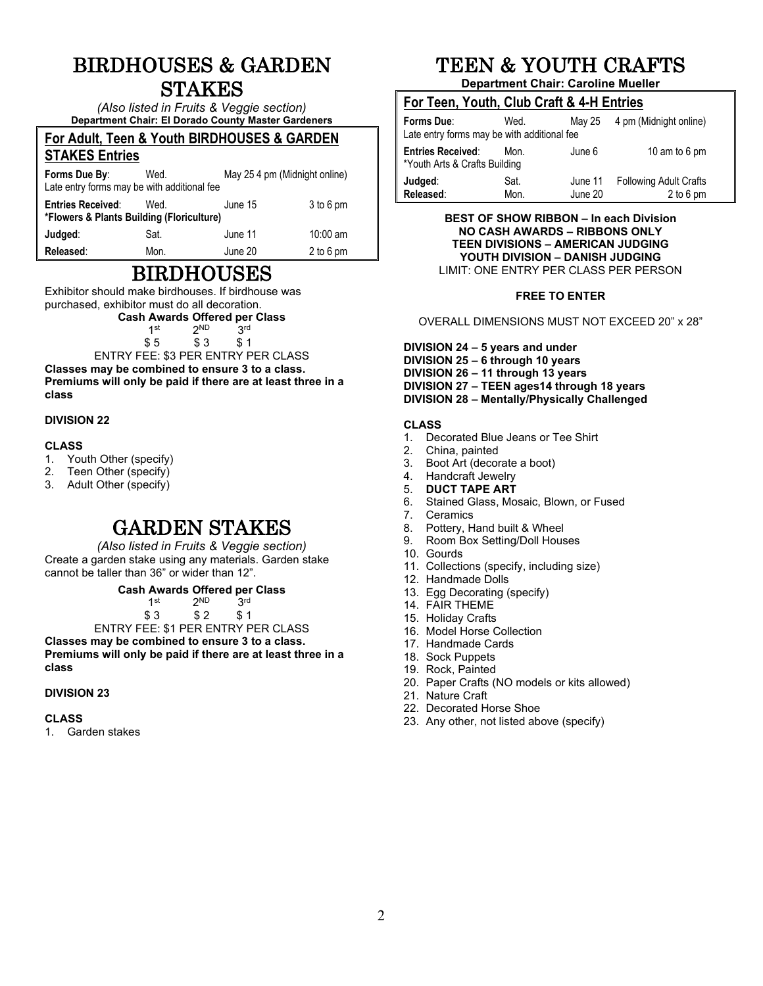### BIRDHOUSES & GARDEN STAKES

*(Also listed in Fruits & Veggie section)* **Department Chair: El Dorado County Master Gardeners**

#### **For Adult, Teen & Youth BIRDHOUSES & GARDEN STAKES Entries**

| <b>OIANLO LIIUICS</b>                                                 |      |                               |             |  |
|-----------------------------------------------------------------------|------|-------------------------------|-------------|--|
| Forms Due By:<br>Late entry forms may be with additional fee          | Wed. | May 25 4 pm (Midnight online) |             |  |
| <b>Entries Received:</b><br>*Flowers & Plants Building (Floriculture) | Wed. | June 15                       | $3$ to 6 pm |  |
| Judged:                                                               | Sat. | June 11                       | $10:00$ am  |  |
| Released:                                                             | Mon. | June 20                       | 2 to 6 pm   |  |

### BIRDHOUSES

Exhibitor should make birdhouses. If birdhouse was purchased, exhibitor must do all decoration.

**Cash Awards Offered per Class** 

 $1^{st}$   $2^{ND}$   $3^{rd}$ <br> $$5$   $$3$   $$1$ 

 $$3$ ENTRY FEE: \$3 PER ENTRY PER CLASS

**Classes may be combined to ensure 3 to a class. Premiums will only be paid if there are at least three in a class**

### **DIVISION 22**

### **CLASS**

- 1. Youth Other (specify)
- 2. Teen Other (specify)<br>3. Adult Other (specify)
- Adult Other (specify)

### GARDEN STAKES

*(Also listed in Fruits & Veggie section)* Create a garden stake using any materials. Garden stake cannot be taller than 36" or wider than 12".

**Cash Awards Offered per Class** 

| 1st | 2 <sup>ND</sup> | 3 <sup>rd</sup> |  |
|-----|-----------------|-----------------|--|
| \$3 | \$2             | \$1             |  |

ENTRY FEE: \$1 PER ENTRY PER CLASS **Classes may be combined to ensure 3 to a class.** 

**Premiums will only be paid if there are at least three in a class**

### **DIVISION 23**

#### **CLASS**

1. Garden stakes

# TEEN & YOUTH CRAFTS

**Department Chair: Caroline Mueller**

|  |  |  | For Teen, Youth, Club Craft & 4-H Entries |
|--|--|--|-------------------------------------------|
|  |  |  |                                           |

| Forms Due:<br>Late entry forms may be with additional fee | Wed.         | May 25             | 4 pm (Midnight online)                       |
|-----------------------------------------------------------|--------------|--------------------|----------------------------------------------|
| <b>Entries Received:</b><br>*Youth Arts & Crafts Building | Mon.         | June 6             | 10 am to 6 pm                                |
| Judged:<br>Released:                                      | Sat.<br>Mon. | June 11<br>June 20 | <b>Following Adult Crafts</b><br>$2$ to 6 pm |

**BEST OF SHOW RIBBON – In each Division NO CASH AWARDS – RIBBONS ONLY TEEN DIVISIONS – AMERICAN JUDGING YOUTH DIVISION – DANISH JUDGING** LIMIT: ONE ENTRY PER CLASS PER PERSON

### **FREE TO ENTER**

OVERALL DIMENSIONS MUST NOT EXCEED 20" x 28"

**DIVISION 24 – 5 years and under DIVISION 25 – 6 through 10 years DIVISION 26 – 11 through 13 years DIVISION 27 – TEEN ages14 through 18 years DIVISION 28 – Mentally/Physically Challenged**

#### **CLASS**

- 1. Decorated Blue Jeans or Tee Shirt
- 2. China, painted
- 3. Boot Art (decorate a boot)<br>4. Handcraft Jewelry
- 4. Handcraft Jewelry<br>5. **DUCT TAPE ART**
- 5. **DUCT TAPE ART**
- Stained Glass, Mosaic, Blown, or Fused
- 7. Ceramics<br>8. Pottery, H
- 8. Pottery, Hand built & Wheel<br>9. Room Box Setting/Doll Hous
- Room Box Setting/Doll Houses
- 10. Gourds
- 11. Collections (specify, including size)
- 12. Handmade Dolls
- 13. Egg Decorating (specify)
- 14. FAIR THEME
- 15. Holiday Crafts
- 16. Model Horse Collection
- 17. Handmade Cards
- 18. Sock Puppets
- 19. Rock, Painted
- 20. Paper Crafts (NO models or kits allowed)
- 21. Nature Craft
- 22. Decorated Horse Shoe
- 23. Any other, not listed above (specify)